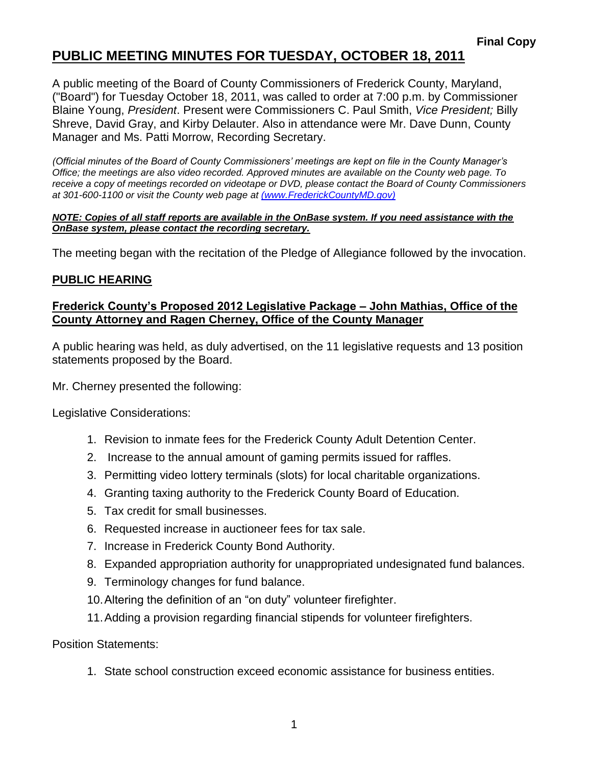### **PUBLIC MEETING MINUTES FOR TUESDAY, OCTOBER 18, 2011**

A public meeting of the Board of County Commissioners of Frederick County, Maryland, ("Board") for Tuesday October 18, 2011, was called to order at 7:00 p.m. by Commissioner Blaine Young, *President*. Present were Commissioners C. Paul Smith, *Vice President;* Billy Shreve, David Gray, and Kirby Delauter. Also in attendance were Mr. Dave Dunn, County Manager and Ms. Patti Morrow, Recording Secretary.

*(Official minutes of the Board of County Commissioners' meetings are kept on file in the County Manager's Office; the meetings are also video recorded. Approved minutes are available on the County web page. To receive a copy of meetings recorded on videotape or DVD, please contact the Board of County Commissioners at 301-600-1100 or visit the County web page at [\(www.FrederickCountyMD.gov\)](file://NT1S5/BOCC/BOCC/BOCC%20Minutes/Patti)*

#### *NOTE: Copies of all staff reports are available in the OnBase system. If you need assistance with the OnBase system, please contact the recording secretary.*

The meeting began with the recitation of the Pledge of Allegiance followed by the invocation.

### **PUBLIC HEARING**

#### **Frederick County's Proposed 2012 Legislative Package – John Mathias, Office of the County Attorney and Ragen Cherney, Office of the County Manager**

A public hearing was held, as duly advertised, on the 11 legislative requests and 13 position statements proposed by the Board.

Mr. Cherney presented the following:

Legislative Considerations:

- 1. Revision to inmate fees for the Frederick County Adult Detention Center.
- 2. Increase to the annual amount of gaming permits issued for raffles.
- 3. Permitting video lottery terminals (slots) for local charitable organizations.
- 4. Granting taxing authority to the Frederick County Board of Education.
- 5. Tax credit for small businesses.
- 6. Requested increase in auctioneer fees for tax sale.
- 7. Increase in Frederick County Bond Authority.
- 8. Expanded appropriation authority for unappropriated undesignated fund balances.
- 9. Terminology changes for fund balance.
- 10.Altering the definition of an "on duty" volunteer firefighter.
- 11.Adding a provision regarding financial stipends for volunteer firefighters.

Position Statements:

1. State school construction exceed economic assistance for business entities.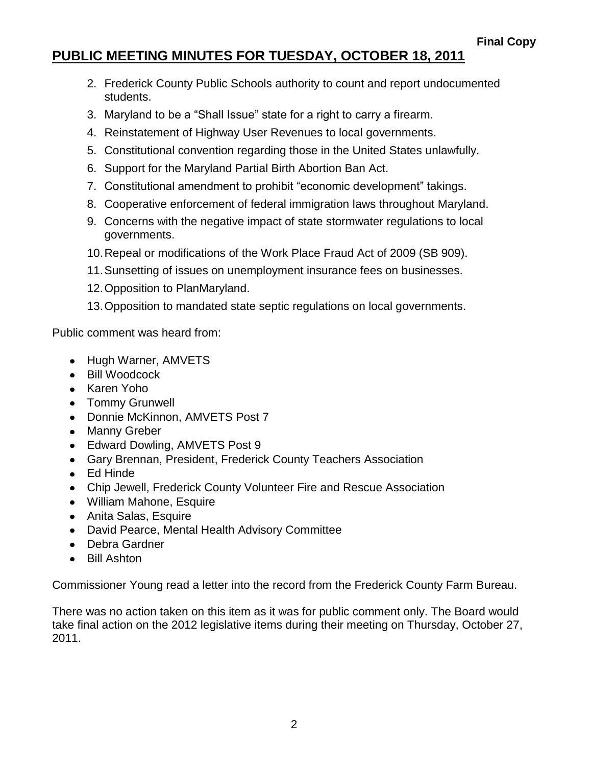## **PUBLIC MEETING MINUTES FOR TUESDAY, OCTOBER 18, 2011**

- 2. Frederick County Public Schools authority to count and report undocumented students.
- 3. Maryland to be a "Shall Issue" state for a right to carry a firearm.
- 4. Reinstatement of Highway User Revenues to local governments.
- 5. Constitutional convention regarding those in the United States unlawfully.
- 6. Support for the Maryland Partial Birth Abortion Ban Act.
- 7. Constitutional amendment to prohibit "economic development" takings.
- 8. Cooperative enforcement of federal immigration laws throughout Maryland.
- 9. Concerns with the negative impact of state stormwater regulations to local governments.
- 10.Repeal or modifications of the Work Place Fraud Act of 2009 (SB 909).
- 11.Sunsetting of issues on unemployment insurance fees on businesses.
- 12.Opposition to PlanMaryland.
- 13.Opposition to mandated state septic regulations on local governments.

Public comment was heard from:

- Hugh Warner, AMVETS
- Bill Woodcock
- Karen Yoho
- Tommy Grunwell
- Donnie McKinnon, AMVETS Post 7
- Manny Greber
- Edward Dowling, AMVETS Post 9
- Gary Brennan, President, Frederick County Teachers Association
- Ed Hinde
- Chip Jewell, Frederick County Volunteer Fire and Rescue Association
- William Mahone, Esquire
- Anita Salas, Esquire
- David Pearce, Mental Health Advisory Committee
- Debra Gardner
- Bill Ashton

Commissioner Young read a letter into the record from the Frederick County Farm Bureau.

There was no action taken on this item as it was for public comment only. The Board would take final action on the 2012 legislative items during their meeting on Thursday, October 27, 2011.